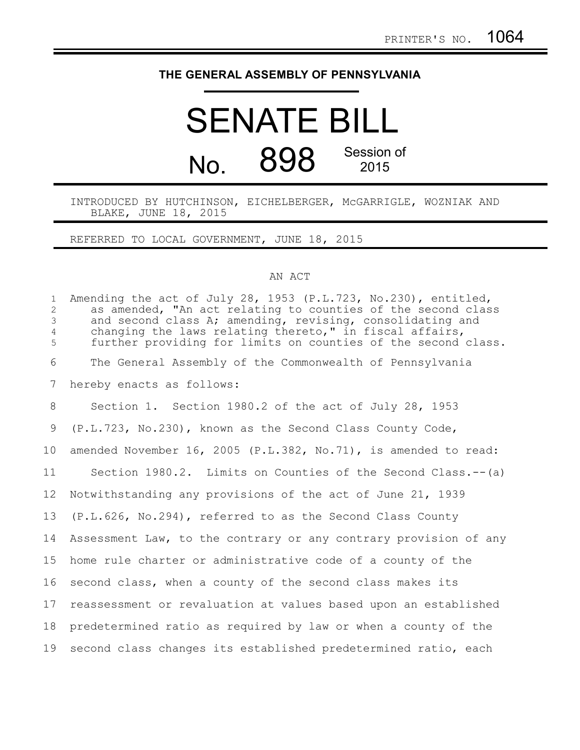## **THE GENERAL ASSEMBLY OF PENNSYLVANIA**

## SENATE BILL No. 898 Session of 2015

INTRODUCED BY HUTCHINSON, EICHELBERGER, McGARRIGLE, WOZNIAK AND BLAKE, JUNE 18, 2015

REFERRED TO LOCAL GOVERNMENT, JUNE 18, 2015

## AN ACT

| $\mathbf{1}$<br>2<br>$\mathfrak{Z}$<br>$\overline{4}$<br>5 | Amending the act of July 28, 1953 (P.L.723, No.230), entitled,<br>as amended, "An act relating to counties of the second class<br>and second class A; amending, revising, consolidating and<br>changing the laws relating thereto," in fiscal affairs,<br>further providing for limits on counties of the second class. |
|------------------------------------------------------------|-------------------------------------------------------------------------------------------------------------------------------------------------------------------------------------------------------------------------------------------------------------------------------------------------------------------------|
| 6                                                          | The General Assembly of the Commonwealth of Pennsylvania                                                                                                                                                                                                                                                                |
| 7                                                          | hereby enacts as follows:                                                                                                                                                                                                                                                                                               |
| 8                                                          | Section 1. Section 1980.2 of the act of July 28, 1953                                                                                                                                                                                                                                                                   |
| 9                                                          | (P.L.723, No.230), known as the Second Class County Code,                                                                                                                                                                                                                                                               |
| 10 <sup>°</sup>                                            | amended November 16, 2005 (P.L.382, No.71), is amended to read:                                                                                                                                                                                                                                                         |
| 11                                                         | Section 1980.2. Limits on Counties of the Second Class.-- (a)                                                                                                                                                                                                                                                           |
| 12                                                         | Notwithstanding any provisions of the act of June 21, 1939                                                                                                                                                                                                                                                              |
| 13                                                         | (P.L.626, No.294), referred to as the Second Class County                                                                                                                                                                                                                                                               |
| 14                                                         | Assessment Law, to the contrary or any contrary provision of any                                                                                                                                                                                                                                                        |
| 15                                                         | home rule charter or administrative code of a county of the                                                                                                                                                                                                                                                             |
| 16                                                         | second class, when a county of the second class makes its                                                                                                                                                                                                                                                               |
| 17                                                         | reassessment or revaluation at values based upon an established                                                                                                                                                                                                                                                         |
| 18                                                         | predetermined ratio as required by law or when a county of the                                                                                                                                                                                                                                                          |
| 19                                                         | second class changes its established predetermined ratio, each                                                                                                                                                                                                                                                          |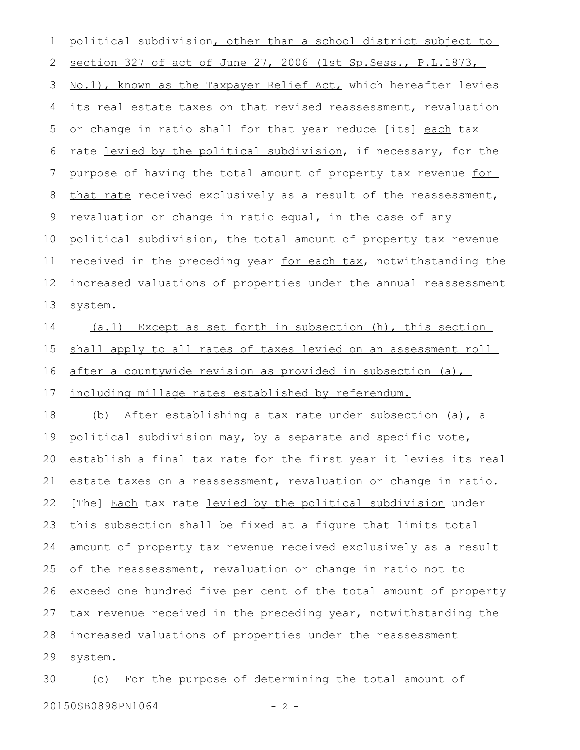political subdivision, other than a school district subject to section 327 of act of June 27, 2006 (1st Sp. Sess., P.L.1873, No.1), known as the Taxpayer Relief Act, which hereafter levies its real estate taxes on that revised reassessment, revaluation or change in ratio shall for that year reduce [its] each tax rate levied by the political subdivision, if necessary, for the purpose of having the total amount of property tax revenue for that rate received exclusively as a result of the reassessment, revaluation or change in ratio equal, in the case of any political subdivision, the total amount of property tax revenue received in the preceding year for each tax, notwithstanding the increased valuations of properties under the annual reassessment system. 1 2 3 4 5 6 7 8 9 10 11 12 13

(a.1) Except as set forth in subsection (h), this section shall apply to all rates of taxes levied on an assessment roll after a countywide revision as provided in subsection (a), including millage rates established by referendum. 14 15 16 17

(b) After establishing a tax rate under subsection (a), a political subdivision may, by a separate and specific vote, establish a final tax rate for the first year it levies its real estate taxes on a reassessment, revaluation or change in ratio. [The] Each tax rate levied by the political subdivision under this subsection shall be fixed at a figure that limits total amount of property tax revenue received exclusively as a result of the reassessment, revaluation or change in ratio not to exceed one hundred five per cent of the total amount of property tax revenue received in the preceding year, notwithstanding the increased valuations of properties under the reassessment system. 18 19 20 21 22 23 24 25 26 27 28 29

(c) For the purpose of determining the total amount of 20150SB0898PN1064 - 2 -30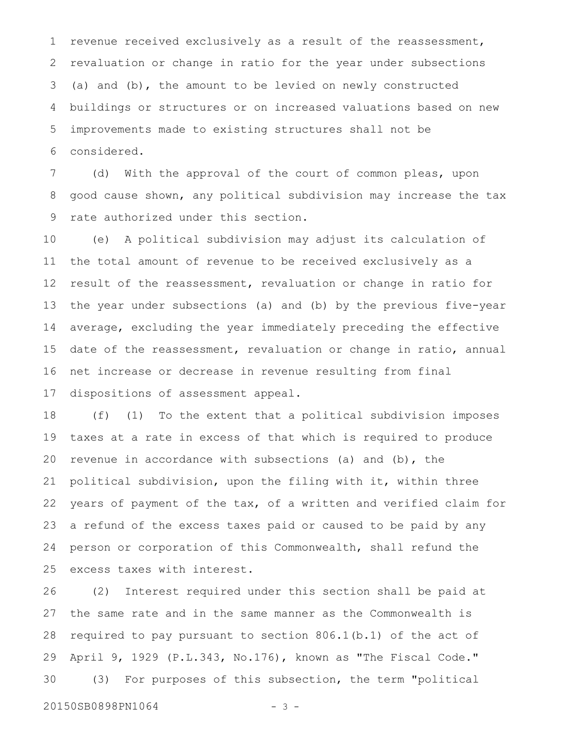revenue received exclusively as a result of the reassessment, revaluation or change in ratio for the year under subsections (a) and (b), the amount to be levied on newly constructed buildings or structures or on increased valuations based on new improvements made to existing structures shall not be considered. 1 2 3 4 5 6

(d) With the approval of the court of common pleas, upon good cause shown, any political subdivision may increase the tax rate authorized under this section. 7 8 9

(e) A political subdivision may adjust its calculation of the total amount of revenue to be received exclusively as a result of the reassessment, revaluation or change in ratio for the year under subsections (a) and (b) by the previous five-year average, excluding the year immediately preceding the effective date of the reassessment, revaluation or change in ratio, annual net increase or decrease in revenue resulting from final dispositions of assessment appeal. 10 11 12 13 14 15 16 17

(f) (1) To the extent that a political subdivision imposes taxes at a rate in excess of that which is required to produce revenue in accordance with subsections (a) and  $(b)$ , the political subdivision, upon the filing with it, within three years of payment of the tax, of a written and verified claim for a refund of the excess taxes paid or caused to be paid by any person or corporation of this Commonwealth, shall refund the excess taxes with interest. 18 19 20 21 22 23 24 25

(2) Interest required under this section shall be paid at the same rate and in the same manner as the Commonwealth is required to pay pursuant to section 806.1(b.1) of the act of April 9, 1929 (P.L.343, No.176), known as "The Fiscal Code." (3) For purposes of this subsection, the term "political 26 27 28 29 30

20150SB0898PN1064 - 3 -